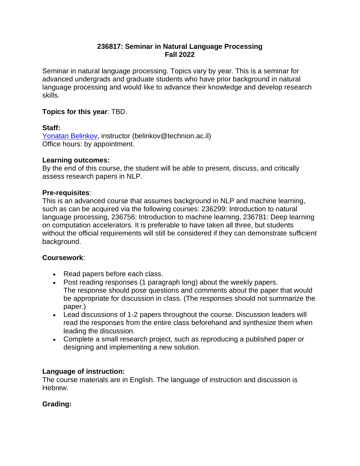### **236817: Seminar in Natural Language Processing Fall 2022**

Seminar in natural language processing. Topics vary by year. This is a seminar for advanced undergrads and graduate students who have prior background in natural language processing and would like to advance their knowledge and develop research skills.

### **Topics for this year**: TBD.

#### **Staff:**

[Yonatan Belinkov,](http://www.cs.technion.ac.il/~belinkov/) instructor (belinkov@technion.ac.il) Office hours: by appointment.

## **Learning outcomes:**

By the end of this course, the student will be able to present, discuss, and critically assess research papers in NLP.

## **Pre-requisites**:

This is an advanced course that assumes background in NLP and machine learning, such as can be acquired via the following courses: 236299: Introduction to natural language processing, 236756: Introduction to machine learning, 236781: Deep learning on computation accelerators. It is preferable to have taken all three, but students without the official requirements will still be considered if they can demonstrate sufficient background.

#### **Coursework**:

- Read papers before each class.
- Post reading responses (1 paragraph long) about the weekly papers. The response should pose questions and comments about the paper that would be appropriate for discussion in class. (The responses should not summarize the paper.)
- Lead discussions of 1-2 papers throughout the course. Discussion leaders will read the responses from the entire class beforehand and synthesize them when leading the discussion.
- Complete a small research project, such as reproducing a published paper or designing and implementing a new solution.

# **Language of instruction:**

The course materials are in English. The language of instruction and discussion is Hebrew.

# **Grading:**